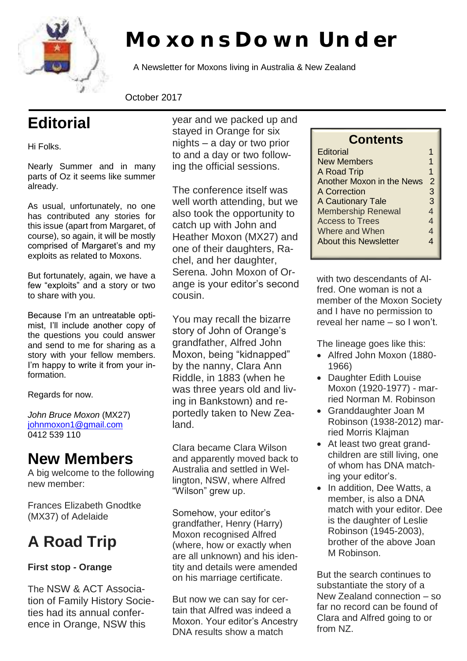

# **Moxons Down Under**

A Newsletter for Moxons living in Australia & New Zealand

October 2017

# **Editorial**

Hi Folks.

Nearly Summer and in many parts of Oz it seems like summer already.

As usual, unfortunately, no one has contributed any stories for this issue (apart from Margaret, of course), so again, it will be mostly comprised of Margaret's and my exploits as related to Moxons.

But fortunately, again, we have a few "exploits" and a story or two to share with you.

Because I'm an untreatable optimist, I'll include another copy of the questions you could answer and send to me for sharing as a story with your fellow members. I'm happy to write it from your information.

Regards for now.

*John Bruce Moxon* (MX27) johnmoxon1@gmail.com 0412 539 110

### **New Members**

A big welcome to the following new member:

Frances Elizabeth Gnodtke (MX37) of Adelaide

## **A Road Trip**

### **First stop - Orange**

The NSW & ACT Association of Family History Societies had its annual conference in Orange, NSW this

year and we packed up and stayed in Orange for six nights – a day or two prior to and a day or two following the official sessions.

The conference itself was well worth attending, but we also took the opportunity to catch up with John and Heather Moxon (MX27) and one of their daughters, Rachel, and her daughter, Serena. John Moxon of Orange is your editor's second cousin.

You may recall the bizarre story of John of Orange's grandfather, Alfred John Moxon, being "kidnapped" by the nanny, Clara Ann Riddle, in 1883 (when he was three years old and living in Bankstown) and reportedly taken to New Zealand.

Clara became Clara Wilson and apparently moved back to Australia and settled in Wellington, NSW, where Alfred "Wilson" grew up.

Somehow, your editor's grandfather, Henry (Harry) Moxon recognised Alfred (where, how or exactly when are all unknown) and his identity and details were amended on his marriage certificate.

But now we can say for certain that Alfred was indeed a Moxon. Your editor's Ancestry DNA results show a match

### **Contents**

| <b>Editorial</b>          |                          |
|---------------------------|--------------------------|
| <b>New Members</b>        | 1                        |
| A Road Trip               | 1                        |
| Another Moxon in the News | $\mathcal{P}$            |
| A Correction              | 3                        |
| A Cautionary Tale         | 3                        |
| <b>Membership Renewal</b> | 4                        |
| <b>Access to Trees</b>    | 4                        |
| Where and When            | $\overline{\mathcal{A}}$ |
| About this Newsletter     | 4                        |
|                           |                          |

with two descendants of Alfred. One woman is not a member of the Moxon Society and I have no permission to reveal her name – so I won't.

The lineage goes like this:

- Alfred John Moxon (1880- 1966)
- Daughter Edith Louise Moxon (1920-1977) - married Norman M. Robinson
- Granddaughter Joan M Robinson (1938-2012) married Morris Klajman
- At least two great grandchildren are still living, one of whom has DNA matching your editor's.
- In addition, Dee Watts, a member, is also a DNA match with your editor. Dee is the daughter of Leslie Robinson (1945-2003), brother of the above Joan M Robinson.

But the search continues to substantiate the story of a New Zealand connection – so far no record can be found of Clara and Alfred going to or from NZ.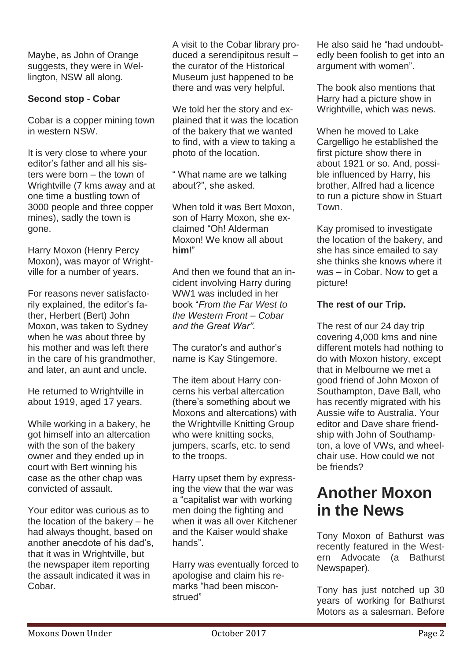Maybe, as John of Orange suggests, they were in Wellington, NSW all along.

#### **Second stop - Cobar**

Cobar is a copper mining town in western NSW.

It is very close to where your editor's father and all his sisters were born – the town of Wrightville (7 kms away and at one time a bustling town of 3000 people and three copper mines), sadly the town is gone.

Harry Moxon (Henry Percy Moxon), was mayor of Wrightville for a number of years.

For reasons never satisfactorily explained, the editor's father, Herbert (Bert) John Moxon, was taken to Sydney when he was about three by his mother and was left there in the care of his grandmother, and later, an aunt and uncle.

He returned to Wrightville in about 1919, aged 17 years.

While working in a bakery, he got himself into an altercation with the son of the bakery owner and they ended up in court with Bert winning his case as the other chap was convicted of assault.

Your editor was curious as to the location of the bakery – he had always thought, based on another anecdote of his dad's, that it was in Wrightville, but the newspaper item reporting the assault indicated it was in Cobar.

A visit to the Cobar library produced a serendipitous result – the curator of the Historical Museum just happened to be there and was very helpful.

We told her the story and explained that it was the location of the bakery that we wanted to find, with a view to taking a photo of the location.

" What name are we talking about?", she asked.

When told it was Bert Moxon, son of Harry Moxon, she exclaimed "Oh! Alderman Moxon! We know all about **him**!"

And then we found that an incident involving Harry during WW1 was included in her book "*From the Far West to the Western Front – Cobar and the Great War".*

The curator's and author's name is Kay Stingemore.

The item about Harry concerns his verbal altercation (there's something about we Moxons and altercations) with the Wrightville Knitting Group who were knitting socks, jumpers, scarfs, etc. to send to the troops.

Harry upset them by expressing the view that the war was a "capitalist war with working men doing the fighting and when it was all over Kitchener and the Kaiser would shake hands".

Harry was eventually forced to apologise and claim his remarks "had been misconstrued"

He also said he "had undoubtedly been foolish to get into an argument with women".

The book also mentions that Harry had a picture show in Wrightville, which was news.

When he moved to Lake Cargelligo he established the first picture show there in about 1921 or so. And, possible influenced by Harry, his brother, Alfred had a licence to run a picture show in Stuart Town.

Kay promised to investigate the location of the bakery, and she has since emailed to say she thinks she knows where it was – in Cobar. Now to get a picture!

#### **The rest of our Trip.**

The rest of our 24 day trip covering 4,000 kms and nine different motels had nothing to do with Moxon history, except that in Melbourne we met a good friend of John Moxon of Southampton, Dave Ball, who has recently migrated with his Aussie wife to Australia. Your editor and Dave share friendship with John of Southampton, a love of VWs, and wheelchair use. How could we not be friends?

### **Another Moxon in the News**

Tony Moxon of Bathurst was recently featured in the Western Advocate (a Bathurst Newspaper).

Tony has just notched up 30 years of working for Bathurst Motors as a salesman. Before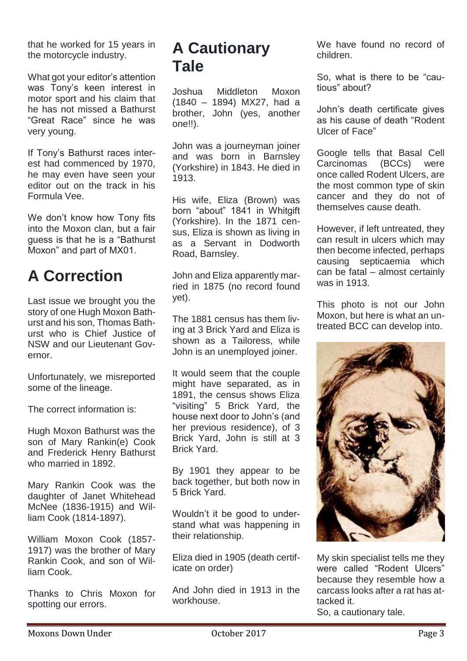that he worked for 15 years in the motorcycle industry.

What got your editor's attention was Tony's keen interest in motor sport and his claim that he has not missed a Bathurst "Great Race" since he was very young.

If Tony's Bathurst races interest had commenced by 1970, he may even have seen your editor out on the track in his Formula Vee.

We don't know how Tony fits into the Moxon clan, but a fair guess is that he is a "Bathurst Moxon" and part of MX01.

### **A Correction**

Last issue we brought you the story of one Hugh Moxon Bathurst and his son, Thomas Bathurst who is Chief Justice of NSW and our Lieutenant Governor.

Unfortunately, we misreported some of the lineage.

The correct information is:

Hugh Moxon Bathurst was the son of Mary Rankin(e) Cook and Frederick Henry Bathurst who married in 1892.

Mary Rankin Cook was the daughter of Janet Whitehead McNee (1836-1915) and William Cook (1814-1897).

William Moxon Cook (1857- 1917) was the brother of Mary Rankin Cook, and son of William Cook.

Thanks to Chris Moxon for spotting our errors.

### **A Cautionary Tale**

Joshua Middleton Moxon (1840 – 1894) MX27, had a brother, John (yes, another one!!).

John was a journeyman joiner and was born in Barnsley (Yorkshire) in 1843. He died in 1913.

His wife, Eliza (Brown) was born "about" 1841 in Whitgift (Yorkshire). In the 1871 census, Eliza is shown as living in as a Servant in Dodworth Road, Barnsley.

John and Eliza apparently married in 1875 (no record found yet).

The 1881 census has them living at 3 Brick Yard and Eliza is shown as a Tailoress, while John is an unemployed joiner.

It would seem that the couple might have separated, as in 1891, the census shows Eliza "visiting" 5 Brick Yard, the house next door to John's (and her previous residence), of 3 Brick Yard, John is still at 3 Brick Yard.

By 1901 they appear to be back together, but both now in 5 Brick Yard.

Wouldn't it be good to understand what was happening in their relationship.

Eliza died in 1905 (death certificate on order)

And John died in 1913 in the workhouse.

We have found no record of children.

So, what is there to be "cautious" about?

John's death certificate gives as his cause of death "Rodent Ulcer of Face"

Google tells that Basal Cell Carcinomas (BCCs) were once called Rodent Ulcers, are the most common type of skin cancer and they do not of themselves cause death.

However, if left untreated, they can result in ulcers which may then become infected, perhaps causing septicaemia which can be fatal – almost certainly was in 1913.

This photo is not our John Moxon, but here is what an untreated BCC can develop into.



My skin specialist tells me they were called "Rodent Ulcers" because they resemble how a carcass looks after a rat has attacked it.

So, a cautionary tale.